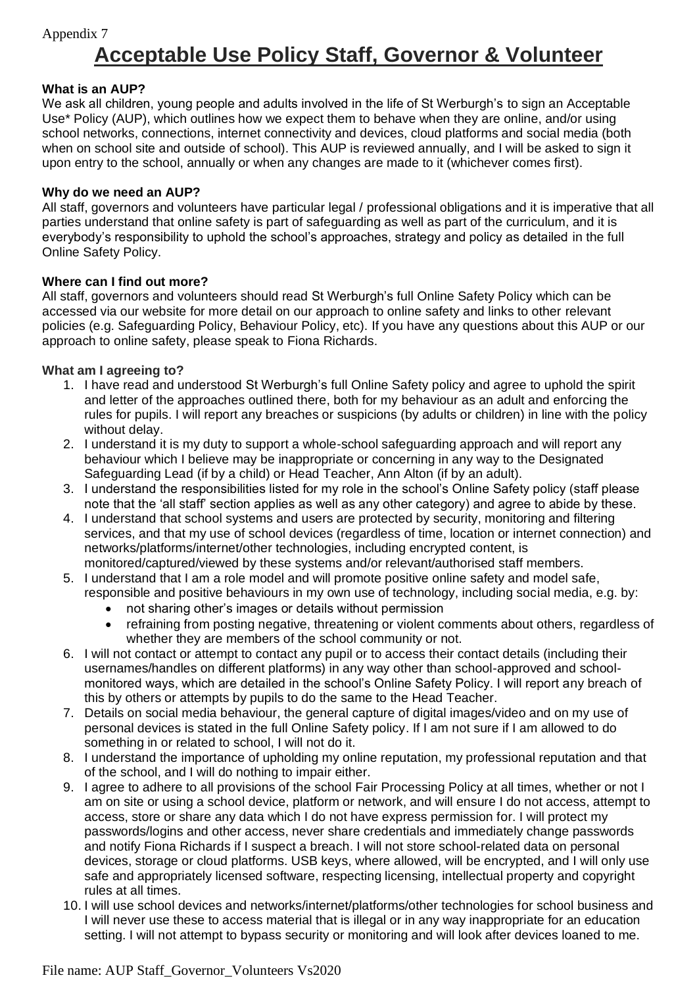# **Acceptable Use Policy Staff, Governor & Volunteer**

## **What is an AUP?**

We ask all children, young people and adults involved in the life of St Werburgh's to sign an Acceptable Use\* Policy (AUP), which outlines how we expect them to behave when they are online, and/or using school networks, connections, internet connectivity and devices, cloud platforms and social media (both when on school site and outside of school). This AUP is reviewed annually, and I will be asked to sign it upon entry to the school, annually or when any changes are made to it (whichever comes first).

## **Why do we need an AUP?**

All staff, governors and volunteers have particular legal / professional obligations and it is imperative that all parties understand that online safety is part of safeguarding as well as part of the curriculum, and it is everybody's responsibility to uphold the school's approaches, strategy and policy as detailed in the full Online Safety Policy.

## **Where can I find out more?**

All staff, governors and volunteers should read St Werburgh's full Online Safety Policy which can be accessed via our website for more detail on our approach to online safety and links to other relevant policies (e.g. Safeguarding Policy, Behaviour Policy, etc). If you have any questions about this AUP or our approach to online safety, please speak to Fiona Richards.

## **What am I agreeing to?**

- 1. I have read and understood St Werburgh's full Online Safety policy and agree to uphold the spirit and letter of the approaches outlined there, both for my behaviour as an adult and enforcing the rules for pupils. I will report any breaches or suspicions (by adults or children) in line with the policy without delay.
- 2. I understand it is my duty to support a whole-school safeguarding approach and will report any behaviour which I believe may be inappropriate or concerning in any way to the Designated Safeguarding Lead (if by a child) or Head Teacher, Ann Alton (if by an adult).
- 3. I understand the responsibilities listed for my role in the school's Online Safety policy (staff please note that the 'all staff' section applies as well as any other category) and agree to abide by these.
- 4. I understand that school systems and users are protected by security, monitoring and filtering services, and that my use of school devices (regardless of time, location or internet connection) and networks/platforms/internet/other technologies, including encrypted content, is monitored/captured/viewed by these systems and/or relevant/authorised staff members.
- 5. I understand that I am a role model and will promote positive online safety and model safe, responsible and positive behaviours in my own use of technology, including social media, e.g. by:
	- not sharing other's images or details without permission
	- refraining from posting negative, threatening or violent comments about others, regardless of whether they are members of the school community or not.
- 6. I will not contact or attempt to contact any pupil or to access their contact details (including their usernames/handles on different platforms) in any way other than school-approved and schoolmonitored ways, which are detailed in the school's Online Safety Policy. I will report any breach of this by others or attempts by pupils to do the same to the Head Teacher.
- 7. Details on social media behaviour, the general capture of digital images/video and on my use of personal devices is stated in the full Online Safety policy. If I am not sure if I am allowed to do something in or related to school, I will not do it.
- 8. I understand the importance of upholding my online reputation, my professional reputation and that of the school, and I will do nothing to impair either.
- 9. I agree to adhere to all provisions of the school Fair Processing Policy at all times, whether or not I am on site or using a school device, platform or network, and will ensure I do not access, attempt to access, store or share any data which I do not have express permission for. I will protect my passwords/logins and other access, never share credentials and immediately change passwords and notify Fiona Richards if I suspect a breach. I will not store school-related data on personal devices, storage or cloud platforms. USB keys, where allowed, will be encrypted, and I will only use safe and appropriately licensed software, respecting licensing, intellectual property and copyright rules at all times.
- 10. I will use school devices and networks/internet/platforms/other technologies for school business and I will never use these to access material that is illegal or in any way inappropriate for an education setting. I will not attempt to bypass security or monitoring and will look after devices loaned to me.